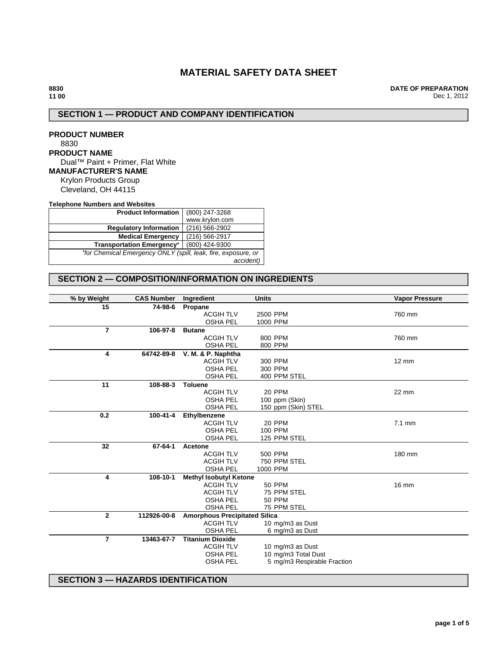# **MATERIAL SAFETY DATA SHEET**

**DATE OF PREPARATION** Dec 1, 2012

# **SECTION 1 — PRODUCT AND COMPANY IDENTIFICATION**

**PRODUCT NUMBER** 8830 **PRODUCT NAME** Dual™ Paint + Primer, Flat White **MANUFACTURER'S NAME** Krylon Products Group Cleveland, OH 44115

**Telephone Numbers and Websites**

| <b>Product Information</b>                                    | (800) 247-3268 |  |
|---------------------------------------------------------------|----------------|--|
|                                                               | www.krylon.com |  |
| <b>Regulatory Information</b>                                 | (216) 566-2902 |  |
| <b>Medical Emergency</b>                                      | (216) 566-2917 |  |
| <b>Transportation Emergency*</b>                              | (800) 424-9300 |  |
| *for Chemical Emergency ONLY (spill, leak, fire, exposure, or |                |  |
|                                                               | accident)      |  |

## **SECTION 2 — COMPOSITION/INFORMATION ON INGREDIENTS**

| % by Weight    | <b>CAS Number</b> | Ingredient                           | <b>Units</b>                | <b>Vapor Pressure</b> |
|----------------|-------------------|--------------------------------------|-----------------------------|-----------------------|
| 15             | 74-98-6           | Propane                              |                             |                       |
|                |                   | <b>ACGIH TLV</b>                     | 2500 PPM                    | 760 mm                |
|                |                   | <b>OSHA PEL</b>                      | 1000 PPM                    |                       |
| $\overline{7}$ | 106-97-8          | <b>Butane</b>                        |                             |                       |
|                |                   | <b>ACGIH TLV</b>                     | 800 PPM                     | 760 mm                |
|                |                   | <b>OSHA PEL</b>                      | 800 PPM                     |                       |
| 4              | 64742-89-8        | V. M. & P. Naphtha                   |                             |                       |
|                |                   | <b>ACGIH TLV</b>                     | 300 PPM                     | 12 mm                 |
|                |                   | <b>OSHA PEL</b>                      | 300 PPM                     |                       |
|                |                   | <b>OSHA PEL</b>                      | 400 PPM STEL                |                       |
| 11             | 108-88-3          | <b>Toluene</b>                       |                             |                       |
|                |                   | <b>ACGIH TLV</b>                     | 20 PPM                      | 22 mm                 |
|                |                   | <b>OSHA PEL</b>                      | 100 ppm (Skin)              |                       |
|                |                   | <b>OSHA PEL</b>                      | 150 ppm (Skin) STEL         |                       |
| 0.2            | 100-41-4          | Ethylbenzene                         |                             |                       |
|                |                   | <b>ACGIH TLV</b>                     | 20 PPM                      | $7.1 \text{ mm}$      |
|                |                   | <b>OSHA PEL</b>                      | 100 PPM                     |                       |
|                |                   | <b>OSHA PEL</b>                      | 125 PPM STEL                |                       |
| 32             | 67-64-1           | Acetone                              |                             |                       |
|                |                   | <b>ACGIH TLV</b>                     | 500 PPM                     | 180 mm                |
|                |                   | <b>ACGIH TLV</b>                     | 750 PPM STEL                |                       |
|                |                   | <b>OSHA PEL</b>                      | 1000 PPM                    |                       |
| 4              | 108-10-1          | <b>Methyl Isobutyl Ketone</b>        |                             |                       |
|                |                   | <b>ACGIH TLV</b>                     | <b>50 PPM</b>               | 16 mm                 |
|                |                   | <b>ACGIH TLV</b>                     | 75 PPM STEL                 |                       |
|                |                   | <b>OSHA PEL</b>                      | <b>50 PPM</b>               |                       |
|                |                   | <b>OSHA PEL</b>                      | 75 PPM STEL                 |                       |
| $\overline{2}$ | 112926-00-8       | <b>Amorphous Precipitated Silica</b> |                             |                       |
|                |                   | <b>ACGIH TLV</b>                     | 10 mg/m3 as Dust            |                       |
|                |                   | <b>OSHA PEL</b>                      | 6 mg/m3 as Dust             |                       |
| $\overline{7}$ | 13463-67-7        | <b>Titanium Dioxide</b>              |                             |                       |
|                |                   | <b>ACGIH TLV</b>                     | 10 mg/m3 as Dust            |                       |
|                |                   | <b>OSHA PEL</b>                      | 10 mg/m3 Total Dust         |                       |
|                |                   | <b>OSHA PEL</b>                      | 5 mg/m3 Respirable Fraction |                       |
|                |                   |                                      |                             |                       |

## **SECTION 3 — HAZARDS IDENTIFICATION**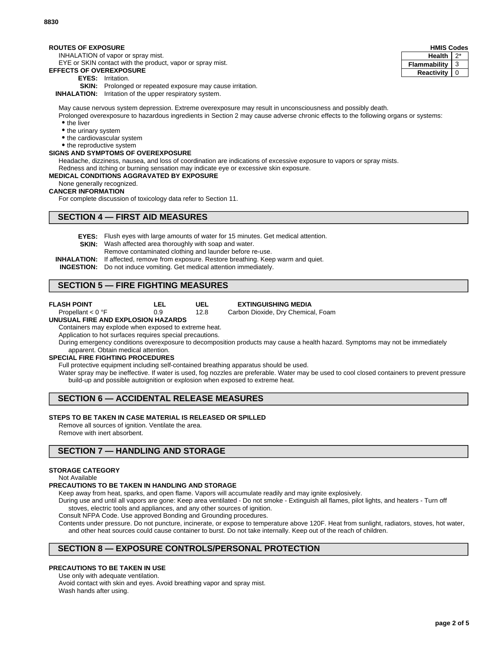#### **ROUTES OF EXPOSURE**

INHALATION of vapor or spray mist.

EYE or SKIN contact with the product, vapor or spray mist.

## **EFFECTS OF OVEREXPOSURE**

- **EYES:** Irritation.
- **SKIN:** Prolonged or repeated exposure may cause irritation.

**INHALATION:** Irritation of the upper respiratory system.

May cause nervous system depression. Extreme overexposure may result in unconsciousness and possibly death.

Prolonged overexposure to hazardous ingredients in Section 2 may cause adverse chronic effects to the following organs or systems: • the liver

- the urinary system
- the cardiovascular system
- the reproductive system

### **SIGNS AND SYMPTOMS OF OVEREXPOSURE**

Headache, dizziness, nausea, and loss of coordination are indications of excessive exposure to vapors or spray mists.

Redness and itching or burning sensation may indicate eye or excessive skin exposure. **MEDICAL CONDITIONS AGGRAVATED BY EXPOSURE**

# None generally recognized.

# **CANCER INFORMATION**

For complete discussion of toxicology data refer to Section 11.

## **SECTION 4 — FIRST AID MEASURES**

**EYES:** Flush eyes with large amounts of water for 15 minutes. Get medical attention.

**UEL** 12.8

- **SKIN:** Wash affected area thoroughly with soap and water.
	- Remove contaminated clothing and launder before re-use.
- **INHALATION:** If affected, remove from exposure. Restore breathing. Keep warm and quiet.
- **INGESTION:** Do not induce vomiting. Get medical attention immediately.

**LEL** 0.9

## **SECTION 5 — FIRE FIGHTING MEASURES**

- **FLASH POINT** Propellant < 0 °F
- 

**EXTINGUISHING MEDIA**

Carbon Dioxide, Dry Chemical, Foam

#### **UNUSUAL FIRE AND EXPLOSION HAZARDS**

Containers may explode when exposed to extreme heat.

Application to hot surfaces requires special precautions.

During emergency conditions overexposure to decomposition products may cause a health hazard. Symptoms may not be immediately apparent. Obtain medical attention.

### **SPECIAL FIRE FIGHTING PROCEDURES**

Full protective equipment including self-contained breathing apparatus should be used.

Water spray may be ineffective. If water is used, fog nozzles are preferable. Water may be used to cool closed containers to prevent pressure build-up and possible autoignition or explosion when exposed to extreme heat.

# **SECTION 6 — ACCIDENTAL RELEASE MEASURES**

### **STEPS TO BE TAKEN IN CASE MATERIAL IS RELEASED OR SPILLED**

Remove all sources of ignition. Ventilate the area.

Remove with inert absorbent.

## **SECTION 7 — HANDLING AND STORAGE**

### **STORAGE CATEGORY**

Not Available

### **PRECAUTIONS TO BE TAKEN IN HANDLING AND STORAGE**

Keep away from heat, sparks, and open flame. Vapors will accumulate readily and may ignite explosively.

During use and until all vapors are gone: Keep area ventilated - Do not smoke - Extinguish all flames, pilot lights, and heaters - Turn off stoves, electric tools and appliances, and any other sources of ignition.

Consult NFPA Code. Use approved Bonding and Grounding procedures.

Contents under pressure. Do not puncture, incinerate, or expose to temperature above 120F. Heat from sunlight, radiators, stoves, hot water, and other heat sources could cause container to burst. Do not take internally. Keep out of the reach of children.

## **SECTION 8 — EXPOSURE CONTROLS/PERSONAL PROTECTION**

### **PRECAUTIONS TO BE TAKEN IN USE**

Use only with adequate ventilation. Avoid contact with skin and eyes. Avoid breathing vapor and spray mist.

Wash hands after using.

| <b>HMIS Codes</b> |   |  |
|-------------------|---|--|
| <b>Health</b>     |   |  |
| Flammability      | З |  |
| Reactivity        |   |  |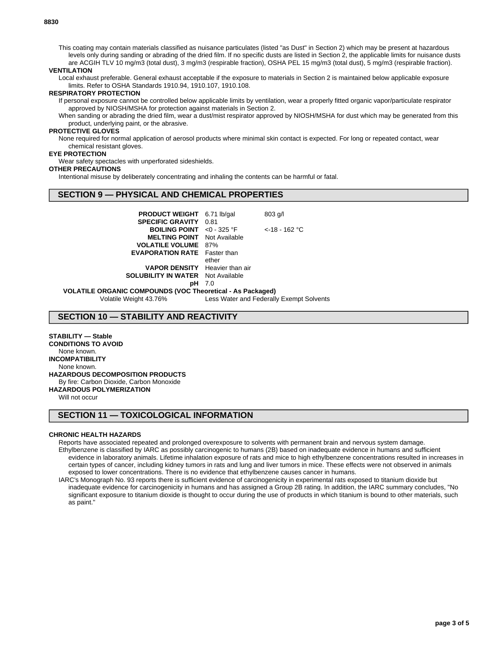This coating may contain materials classified as nuisance particulates (listed "as Dust" in Section 2) which may be present at hazardous levels only during sanding or abrading of the dried film. If no specific dusts are listed in Section 2, the applicable limits for nuisance dusts are ACGIH TLV 10 mg/m3 (total dust), 3 mg/m3 (respirable fraction), OSHA PEL 15 mg/m3 (total dust), 5 mg/m3 (respirable fraction).

### **VENTILATION**

Local exhaust preferable. General exhaust acceptable if the exposure to materials in Section 2 is maintained below applicable exposure limits. Refer to OSHA Standards 1910.94, 1910.107, 1910.108.

#### **RESPIRATORY PROTECTION**

If personal exposure cannot be controlled below applicable limits by ventilation, wear a properly fitted organic vapor/particulate respirator approved by NIOSH/MSHA for protection against materials in Section 2.

When sanding or abrading the dried film, wear a dust/mist respirator approved by NIOSH/MSHA for dust which may be generated from this product, underlying paint, or the abrasive.

#### **PROTECTIVE GLOVES**

None required for normal application of aerosol products where minimal skin contact is expected. For long or repeated contact, wear chemical resistant gloves.

#### **EYE PROTECTION**

Wear safety spectacles with unperforated sideshields.

#### **OTHER PRECAUTIONS**

Intentional misuse by deliberately concentrating and inhaling the contents can be harmful or fatal.

## **SECTION 9 — PHYSICAL AND CHEMICAL PROPERTIES**

| <b>PRODUCT WEIGHT</b> 6.71 lb/gal              |       | $803$ g/l        |  |
|------------------------------------------------|-------|------------------|--|
| <b>SPECIFIC GRAVITY</b>                        | 0.81  |                  |  |
| <b>BOILING POINT</b> <0 - 325 °F               |       | $<$ -18 - 162 °C |  |
| <b>MELTING POINT</b> Not Available             |       |                  |  |
| <b>VOLATILE VOLUME</b> 87%                     |       |                  |  |
| <b>EVAPORATION RATE</b> Faster than            |       |                  |  |
|                                                | ether |                  |  |
| <b>VAPOR DENSITY</b> Heavier than air          |       |                  |  |
| <b>SOLUBILITY IN WATER</b> Not Available       |       |                  |  |
| pН                                             | 7.0   |                  |  |
| ANIC COMPOUNDS (VOC Theoretical - As Packaged) |       |                  |  |
|                                                |       |                  |  |

Volatile Weight 43.76% Less Water and Federally Exempt Solvents

## **SECTION 10 — STABILITY AND REACTIVITY**

### **STABILITY — Stable**

**VOLATILE ORG** 

**CONDITIONS TO AVOID** None known. **INCOMPATIBILITY** None known. **HAZARDOUS DECOMPOSITION PRODUCTS** By fire: Carbon Dioxide, Carbon Monoxide **HAZARDOUS POLYMERIZATION**

Will not occur

### **SECTION 11 — TOXICOLOGICAL INFORMATION**

### **CHRONIC HEALTH HAZARDS**

Reports have associated repeated and prolonged overexposure to solvents with permanent brain and nervous system damage. Ethylbenzene is classified by IARC as possibly carcinogenic to humans (2B) based on inadequate evidence in humans and sufficient evidence in laboratory animals. Lifetime inhalation exposure of rats and mice to high ethylbenzene concentrations resulted in increases in certain types of cancer, including kidney tumors in rats and lung and liver tumors in mice. These effects were not observed in animals exposed to lower concentrations. There is no evidence that ethylbenzene causes cancer in humans.

IARC's Monograph No. 93 reports there is sufficient evidence of carcinogenicity in experimental rats exposed to titanium dioxide but inadequate evidence for carcinogenicity in humans and has assigned a Group 2B rating. In addition, the IARC summary concludes, "No significant exposure to titanium dioxide is thought to occur during the use of products in which titanium is bound to other materials, such as paint."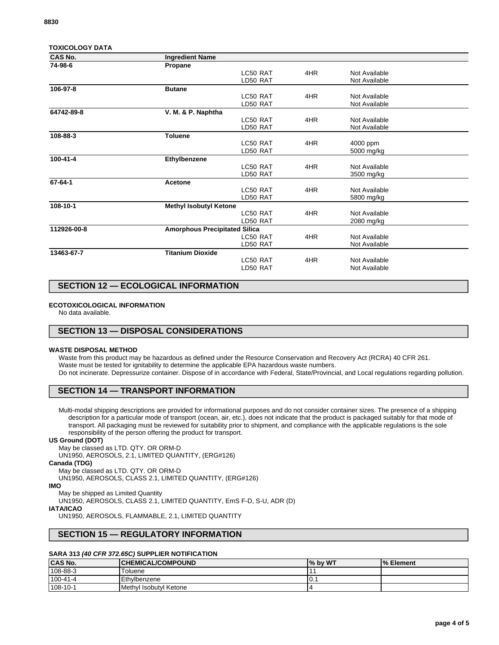| <b>TOXICOLOGY DATA</b> |                                      |          |     |               |
|------------------------|--------------------------------------|----------|-----|---------------|
| <b>CAS No.</b>         | <b>Ingredient Name</b>               |          |     |               |
| 74-98-6                | Propane                              |          |     |               |
|                        |                                      | LC50 RAT | 4HR | Not Available |
|                        |                                      | LD50 RAT |     | Not Available |
| 106-97-8               | <b>Butane</b>                        |          |     |               |
|                        |                                      | LC50 RAT | 4HR | Not Available |
|                        |                                      | LD50 RAT |     | Not Available |
| 64742-89-8             | V. M. & P. Naphtha                   |          |     |               |
|                        |                                      | LC50 RAT | 4HR | Not Available |
|                        |                                      | LD50 RAT |     | Not Available |
| 108-88-3               | <b>Toluene</b>                       |          |     |               |
|                        |                                      | LC50 RAT | 4HR | 4000 ppm      |
|                        |                                      | LD50 RAT |     | 5000 mg/kg    |
| 100-41-4               | Ethylbenzene                         |          |     |               |
|                        |                                      | LC50 RAT | 4HR | Not Available |
|                        |                                      | LD50 RAT |     | 3500 mg/kg    |
| 67-64-1                | Acetone                              |          |     |               |
|                        |                                      | LC50 RAT | 4HR | Not Available |
|                        |                                      | LD50 RAT |     | 5800 mg/kg    |
| 108-10-1               | <b>Methyl Isobutyl Ketone</b>        |          |     |               |
|                        |                                      | LC50 RAT | 4HR | Not Available |
|                        |                                      | LD50 RAT |     | 2080 mg/kg    |
| 112926-00-8            | <b>Amorphous Precipitated Silica</b> |          |     |               |
|                        |                                      | LC50 RAT | 4HR | Not Available |
|                        |                                      | LD50 RAT |     | Not Available |
| 13463-67-7             | <b>Titanium Dioxide</b>              |          |     |               |
|                        |                                      | LC50 RAT | 4HR | Not Available |
|                        |                                      | LD50 RAT |     | Not Available |
|                        |                                      |          |     |               |

## **SECTION 12 — ECOLOGICAL INFORMATION**

### **ECOTOXICOLOGICAL INFORMATION**

No data available.

## **SECTION 13 — DISPOSAL CONSIDERATIONS**

#### **WASTE DISPOSAL METHOD**

Waste from this product may be hazardous as defined under the Resource Conservation and Recovery Act (RCRA) 40 CFR 261. Waste must be tested for ignitability to determine the applicable EPA hazardous waste numbers. Do not incinerate. Depressurize container. Dispose of in accordance with Federal, State/Provincial, and Local regulations regarding pollution.

### **SECTION 14 — TRANSPORT INFORMATION**

Multi-modal shipping descriptions are provided for informational purposes and do not consider container sizes. The presence of a shipping description for a particular mode of transport (ocean, air, etc.), does not indicate that the product is packaged suitably for that mode of transport. All packaging must be reviewed for suitability prior to shipment, and compliance with the applicable regulations is the sole responsibility of the person offering the product for transport.

#### **US Ground (DOT)**

May be classed as LTD. QTY. OR ORM-D UN1950, AEROSOLS, 2.1, LIMITED QUANTITY, (ERG#126)

### **Canada (TDG)**

May be classed as LTD. QTY. OR ORM-D

UN1950, AEROSOLS, CLASS 2.1, LIMITED QUANTITY, (ERG#126)

#### **IMO**

May be shipped as Limited Quantity

UN1950, AEROSOLS, CLASS 2.1, LIMITED QUANTITY, EmS F-D, S-U, ADR (D)

## **IATA/ICAO**

UN1950, AEROSOLS, FLAMMABLE, 2.1, LIMITED QUANTITY

# **SECTION 15 — REGULATORY INFORMATION**

## **SARA 313 (40 CFR 372.65C) SUPPLIER NOTIFICATION**

| <b>CAS No.</b> | <b>CHEMICAL/COMPOUND</b> | I% by WT | <b>S</b> Element |
|----------------|--------------------------|----------|------------------|
| 108-88-3       | Toluene                  |          |                  |
| $100-41-4$     | Ethylbenzene             | .U.      |                  |
| 108-10-1       | Methyl Isobutyl Ketone   |          |                  |